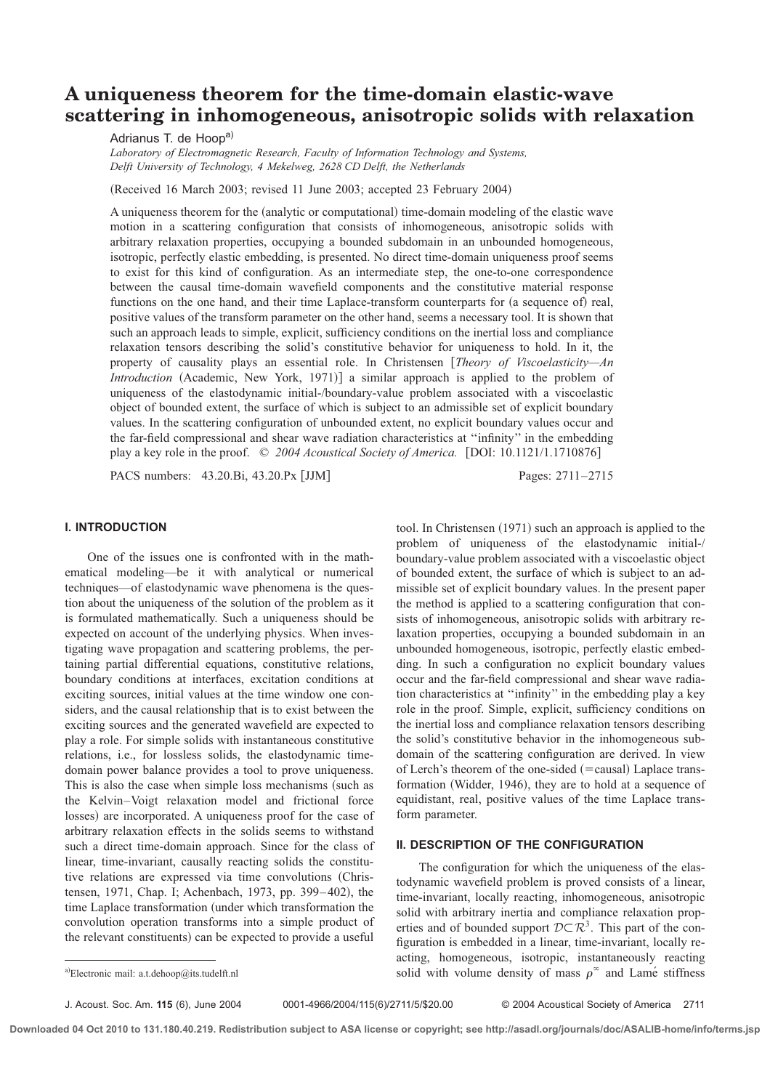# **A uniqueness theorem for the time-domain elastic-wave scattering in inhomogeneous, anisotropic solids with relaxation**

Adrianus T. de Hoopa)

*Laboratory of Electromagnetic Research, Faculty of Information Technology and Systems, Delft University of Technology, 4 Mekelweg, 2628 CD Delft, the Netherlands*

 $(Received 16 March 2003; revised 11 June 2003; accepted 23 February 2004)$ 

A uniqueness theorem for the (analytic or computational) time-domain modeling of the elastic wave motion in a scattering configuration that consists of inhomogeneous, anisotropic solids with arbitrary relaxation properties, occupying a bounded subdomain in an unbounded homogeneous, isotropic, perfectly elastic embedding, is presented. No direct time-domain uniqueness proof seems to exist for this kind of configuration. As an intermediate step, the one-to-one correspondence between the causal time-domain wavefield components and the constitutive material response functions on the one hand, and their time Laplace-transform counterparts for (a sequence of) real, positive values of the transform parameter on the other hand, seems a necessary tool. It is shown that such an approach leads to simple, explicit, sufficiency conditions on the inertial loss and compliance relaxation tensors describing the solid's constitutive behavior for uniqueness to hold. In it, the property of causality plays an essential role. In Christensen [*Theory of Viscoelasticity—An Introduction* (Academic, New York, 1971)] a similar approach is applied to the problem of uniqueness of the elastodynamic initial-/boundary-value problem associated with a viscoelastic object of bounded extent, the surface of which is subject to an admissible set of explicit boundary values. In the scattering configuration of unbounded extent, no explicit boundary values occur and the far-field compressional and shear wave radiation characteristics at ''infinity'' in the embedding play a key role in the proof.  $\degree$  2004 Acoustical Society of America. [DOI: 10.1121/1.1710876]

PACS numbers: 43.20.Bi, 43.20.Px [JJM] Pages: 2711–2715

## **I. INTRODUCTION**

One of the issues one is confronted with in the mathematical modeling—be it with analytical or numerical techniques—of elastodynamic wave phenomena is the question about the uniqueness of the solution of the problem as it is formulated mathematically. Such a uniqueness should be expected on account of the underlying physics. When investigating wave propagation and scattering problems, the pertaining partial differential equations, constitutive relations, boundary conditions at interfaces, excitation conditions at exciting sources, initial values at the time window one considers, and the causal relationship that is to exist between the exciting sources and the generated wavefield are expected to play a role. For simple solids with instantaneous constitutive relations, i.e., for lossless solids, the elastodynamic timedomain power balance provides a tool to prove uniqueness. This is also the case when simple loss mechanisms (such as the Kelvin–Voigt relaxation model and frictional force losses) are incorporated. A uniqueness proof for the case of arbitrary relaxation effects in the solids seems to withstand such a direct time-domain approach. Since for the class of linear, time-invariant, causally reacting solids the constitutive relations are expressed via time convolutions (Christensen, 1971, Chap. I; Achenbach, 1973, pp. 399–402), the time Laplace transformation (under which transformation the convolution operation transforms into a simple product of the relevant constituents) can be expected to provide a useful

tool. In Christensen  $(1971)$  such an approach is applied to the problem of uniqueness of the elastodynamic initial-/ boundary-value problem associated with a viscoelastic object of bounded extent, the surface of which is subject to an admissible set of explicit boundary values. In the present paper the method is applied to a scattering configuration that consists of inhomogeneous, anisotropic solids with arbitrary relaxation properties, occupying a bounded subdomain in an unbounded homogeneous, isotropic, perfectly elastic embedding. In such a configuration no explicit boundary values occur and the far-field compressional and shear wave radiation characteristics at ''infinity'' in the embedding play a key role in the proof. Simple, explicit, sufficiency conditions on the inertial loss and compliance relaxation tensors describing the solid's constitutive behavior in the inhomogeneous subdomain of the scattering configuration are derived. In view of Lerch's theorem of the one-sided  $(=\text{causal})$  Laplace transformation (Widder, 1946), they are to hold at a sequence of equidistant, real, positive values of the time Laplace transform parameter.

# **II. DESCRIPTION OF THE CONFIGURATION**

The configuration for which the uniqueness of the elastodynamic wavefield problem is proved consists of a linear, time-invariant, locally reacting, inhomogeneous, anisotropic solid with arbitrary inertia and compliance relaxation properties and of bounded support  $D \subset \mathbb{R}^3$ . This part of the configuration is embedded in a linear, time-invariant, locally reacting, homogeneous, isotropic, instantaneously reacting a)Electronic mail: a.t.dehoop@its.tudelft.nl solid with volume density of mass  $\rho^{\infty}$  and Lame<sup> $\zeta$ </sup> stiffness

J. Acoust. Soc. Am. **115** (6), June 2004 0001-4966/2004/115(6)/2711/5/\$20.00 © 2004 Acoustical Society of America 2711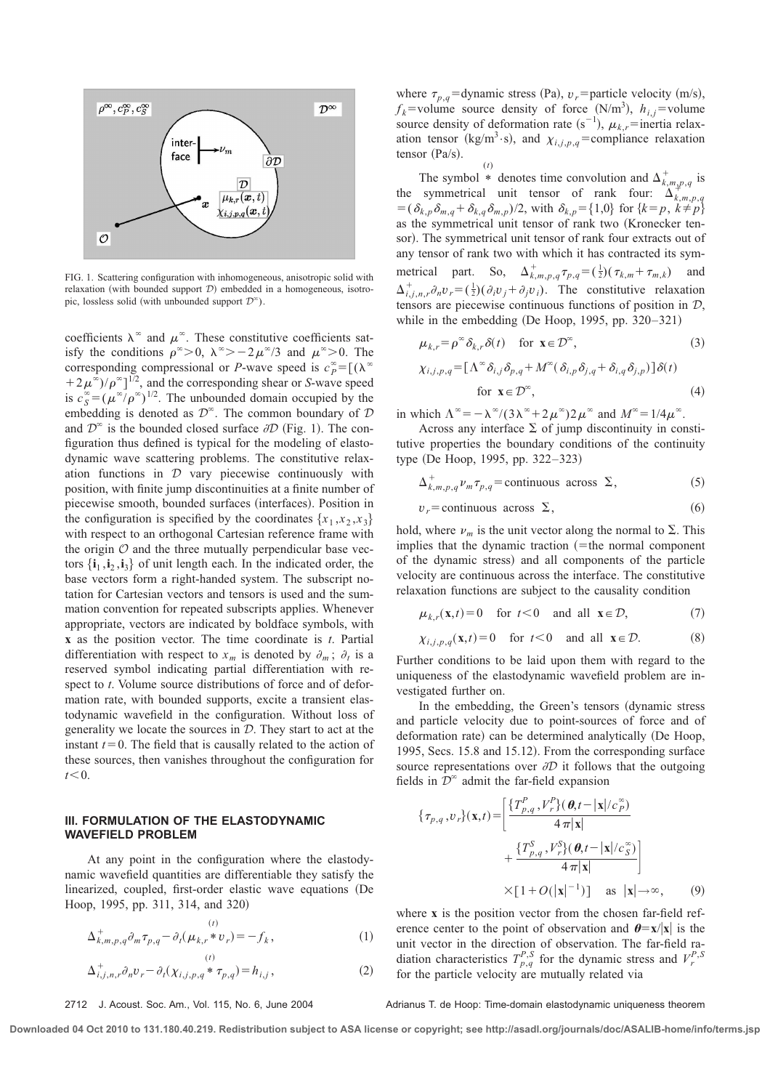

FIG. 1. Scattering configuration with inhomogeneous, anisotropic solid with relaxation (with bounded support  $D$ ) embedded in a homogeneous, isotropic, lossless solid (with unbounded support  $\mathcal{D}^{\infty}$ ).

coefficients  $\lambda^{\infty}$  and  $\mu^{\infty}$ . These constitutive coefficients satisfy the conditions  $\rho^{\infty} > 0$ ,  $\lambda^{\infty} > -2\mu^{\infty}/3$  and  $\mu^{\infty} > 0$ . The corresponding compressional or *P*-wave speed is  $c_p^{\infty} = [(\lambda^{\infty})^2]$  $(1+2\mu^{\tilde{\infty}})/\rho^{\infty}]^{1/2}$ , and the corresponding shear or *S*-wave speed is  $c_S^{\infty} = (\mu^{\infty}/\rho^{\infty})^{1/2}$ . The unbounded domain occupied by the embedding is denoted as  $\mathcal{D}^{\infty}$ . The common boundary of  $\mathcal{D}$ and  $\mathcal{D}^{\infty}$  is the bounded closed surface  $\partial \mathcal{D}$  (Fig. 1). The configuration thus defined is typical for the modeling of elastodynamic wave scattering problems. The constitutive relaxation functions in  $D$  vary piecewise continuously with position, with finite jump discontinuities at a finite number of piecewise smooth, bounded surfaces (interfaces). Position in the configuration is specified by the coordinates  $\{x_1, x_2, x_3\}$ with respect to an orthogonal Cartesian reference frame with the origin  $\mathcal O$  and the three mutually perpendicular base vectors  $\{i_1, i_2, i_3\}$  of unit length each. In the indicated order, the base vectors form a right-handed system. The subscript notation for Cartesian vectors and tensors is used and the summation convention for repeated subscripts applies. Whenever appropriate, vectors are indicated by boldface symbols, with **x** as the position vector. The time coordinate is *t*. Partial differentiation with respect to  $x_m$  is denoted by  $\partial_m$ ;  $\partial_t$  is a reserved symbol indicating partial differentiation with respect to *t*. Volume source distributions of force and of deformation rate, with bounded supports, excite a transient elastodynamic wavefield in the configuration. Without loss of generality we locate the sources in  $D$ . They start to act at the instant  $t=0$ . The field that is causally related to the action of these sources, then vanishes throughout the configuration for  $t < 0$ .

## **III. FORMULATION OF THE ELASTODYNAMIC WAVEFIELD PROBLEM**

At any point in the configuration where the elastodynamic wavefield quantities are differentiable they satisfy the linearized, coupled, first-order elastic wave equations (De Hoop, 1995, pp. 311, 314, and 320)

$$
\Delta_{k,m,p,q}^{+} \partial_m \tau_{p,q} - \partial_t (\mu_{k,r} * v_r) = -f_k, \qquad (1)
$$

$$
\Delta_{i,j,n,r}^{+} \partial_n v_r - \partial_t (\chi_{i,j,p,q} * \tau_{p,q}) = h_{i,j}, \qquad (2)
$$

where  $\tau_{p,q}$ =dynamic stress (Pa),  $v_r$ =particle velocity (m/s),  $f_k$ =volume source density of force (N/m<sup>3</sup>),  $h_{i,j}$ =volume source density of deformation rate  $(s^{-1})$ ,  $\mu_{k,r}$ =inertia relaxation tensor (kg/m<sup>3</sup>·s), and  $\chi_{i,j,p,q}$ =compliance relaxation tensor  $(Pa/s)$ .

$$
f_{\rm{max}}=f_{\rm{max}}
$$

(*t*)

The symbol \* denotes time convolution and  $\Delta^+_{k,m,p,q}$  is the symmetrical unit tensor of rank four:  $\Delta_{k,m,p,q}^{k,m,p,q}$  $= (\delta_{k,p}\delta_{m,q} + \delta_{k,q}\delta_{m,p})/2$ , with  $\delta_{k,p} = \{1,0\}$  for  $\{k=p, k \neq p\}$ as the symmetrical unit tensor of rank two  $(Kronecker$  tensor). The symmetrical unit tensor of rank four extracts out of any tensor of rank two with which it has contracted its symmetrical part. So,  $\Delta_{k,m,p,q}^+ \tau_{p,q} = (\frac{1}{2}) (\tau_{k,m} + \tau_{m,k})$  and  $\Delta^+_{i,j,n,r} \partial_n v_r = (\frac{1}{2}) (\partial_i v_j + \partial_j v_i)$ . The constitutive relaxation tensors are piecewise continuous functions of position in D, while in the embedding  $(De Hoop, 1995, pp. 320-321)$ 

$$
\mu_{k,r} = \rho^{\infty} \delta_{k,r} \delta(t) \quad \text{for } \mathbf{x} \in \mathcal{D}^{\infty},
$$
 (3)

$$
\chi_{i,j,p,q} = [\Lambda^{\infty} \delta_{i,j} \delta_{p,q} + M^{\infty} (\delta_{i,p} \delta_{j,q} + \delta_{i,q} \delta_{j,p})] \delta(t)
$$
  
for  $\mathbf{x} \in \mathcal{D}^{\infty}$ , (4)

in which  $\Lambda^{\infty} = -\lambda^{\infty}/(3\lambda^{\infty} + 2\mu^{\infty})2\mu^{\infty}$  and  $M^{\infty} = 1/4\mu^{\infty}$ .

Across any interface  $\Sigma$  of jump discontinuity in constitutive properties the boundary conditions of the continuity type (De Hoop, 1995, pp. 322–323)

 $\Delta^+_{k,m,p,q} \nu_m \tau_{p,q}$  = continuous across  $\Sigma$ ,  $(5)$ 

$$
v_r = \text{continuous across } \Sigma, \tag{6}
$$

hold, where  $\nu_m$  is the unit vector along the normal to  $\Sigma$ . This implies that the dynamic traction  $($ =the normal component of the dynamic stress) and all components of the particle velocity are continuous across the interface. The constitutive relaxation functions are subject to the causality condition

$$
\mu_{k,r}(\mathbf{x},t) = 0 \quad \text{for } t < 0 \quad \text{and all } \mathbf{x} \in \mathcal{D}, \tag{7}
$$

$$
\chi_{i,j,p,q}(\mathbf{x},t) = 0 \quad \text{for } t < 0 \quad \text{and all } \mathbf{x} \in \mathcal{D}.
$$
 (8)

Further conditions to be laid upon them with regard to the uniqueness of the elastodynamic wavefield problem are investigated further on.

In the embedding, the Green's tensors (dynamic stress and particle velocity due to point-sources of force and of deformation rate) can be determined analytically (De Hoop, 1995, Secs. 15.8 and 15.12). From the corresponding surface source representations over  $\partial D$  it follows that the outgoing fields in  $\mathcal{D}^{\infty}$  admit the far-field expansion

$$
\{\tau_{p,q}, v_r\}(\mathbf{x}, t) = \left[\frac{\{T_{p,q}^P, V_r^P\}(\boldsymbol{\theta}, t - |\mathbf{x}|/c_p^{\infty})}{4\pi|\mathbf{x}|} + \frac{\{T_{p,q}^S, V_r^S\}(\boldsymbol{\theta}, t - |\mathbf{x}|/c_p^{\infty})}{4\pi|\mathbf{x}|}\right] \times [1 + O(|\mathbf{x}|^{-1})] \text{ as } |\mathbf{x}| \to \infty,
$$
 (9)

where **x** is the position vector from the chosen far-field reference center to the point of observation and  $\theta = x/|x|$  is the unit vector in the direction of observation. The far-field radiation characteristics  $T_{p,q}^{P,S}$  for the dynamic stress and  $V_r^{P,S}$ for the particle velocity are mutually related via

2712 J. Acoust. Soc. Am., Vol. 115, No. 6, June 2004 Adrianus T. de Hoop: Time-domain elastodynamic uniqueness theorem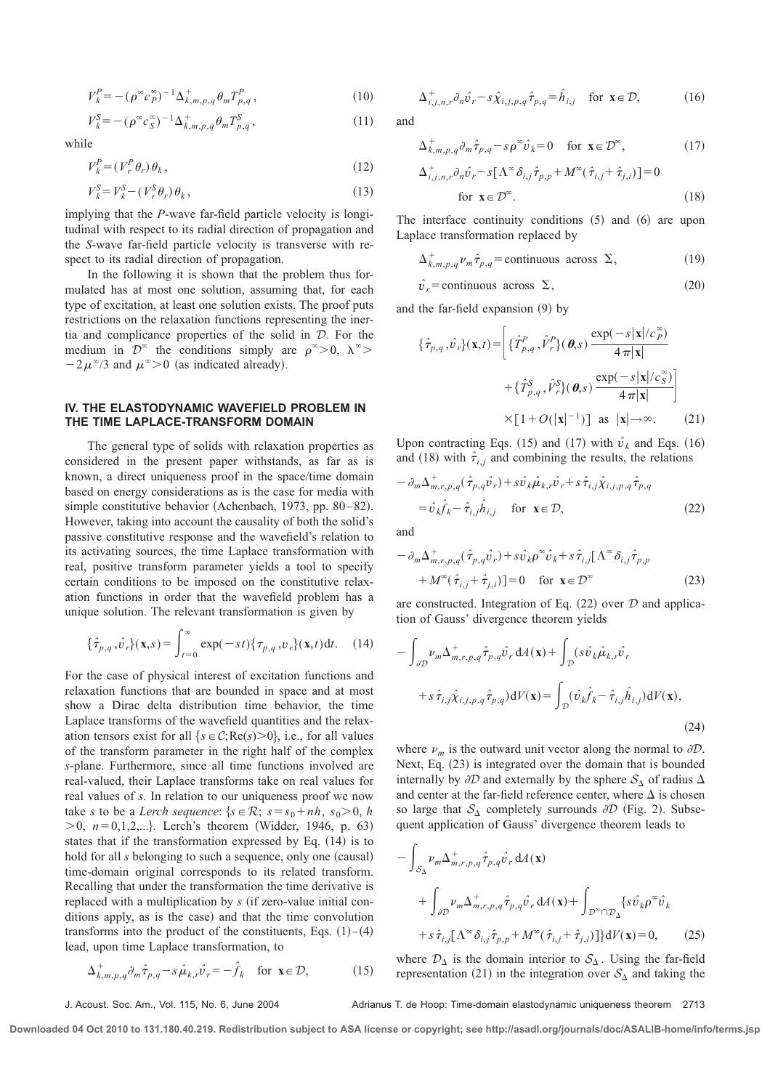$$
V_k^P = -(\rho^\infty c_p^\infty)^{-1} \Delta_{k,m,p,q}^+ \theta_m T_{p,q}^P, \qquad (10)
$$

$$
V_k^S = -(\rho^\infty c_S^\infty)^{-1} \Delta_{k,m,p,q}^+ \theta_m T_{p,q}^S, \qquad (11)
$$

while

$$
V_k^P = (V_r^P \theta_r) \theta_k, \qquad (12)
$$

$$
V_k^S = V_k^S - (V_r^S \theta_r) \theta_k, \qquad (13)
$$

implying that the *P*-wave far-field particle velocity is longitudinal with respect to its radial direction of propagation and the *S*-wave far-field particle velocity is transverse with respect to its radial direction of propagation.

In the following it is shown that the problem thus formulated has at most one solution, assuming that, for each type of excitation, at least one solution exists. The proof puts restrictions on the relaxation functions representing the inertia and complicance properties of the solid in D. For the medium in  $\mathcal{D}^{\infty}$  the conditions simply are  $\rho^{\infty} > 0$ ,  $\lambda^{\infty} >$  $-2\mu^{\infty}/3$  and  $\mu^{\infty} > 0$  (as indicated already).

## **IV. THE ELASTODYNAMIC WAVEFIELD PROBLEM IN THE TIME LAPLACE-TRANSFORM DOMAIN**

The general type of solids with relaxation properties as considered in the present paper withstands, as far as is known, a direct uniqueness proof in the space/time domain based on energy considerations as is the case for media with simple constitutive behavior (Achenbach, 1973, pp. 80–82). However, taking into account the causality of both the solid's passive constitutive response and the wavefield's relation to its activating sources, the time Laplace transformation with real, positive transform parameter yields a tool to specify certain conditions to be imposed on the constitutive relaxation functions in order that the wavefield problem has a unique solution. The relevant transformation is given by

$$
\{\hat{\tau}_{p,q}, \hat{v}_r\}(\mathbf{x}, s) = \int_{t=0}^{\infty} \exp(-st) \{\tau_{p,q}, v_r\}(\mathbf{x}, t) dt. \quad (14)
$$

For the case of physical interest of excitation functions and relaxation functions that are bounded in space and at most show a Dirac delta distribution time behavior, the time Laplace transforms of the wavefield quantities and the relaxation tensors exist for all  $\{s \in C; Re(s) > 0\}$ , i.e., for all values of the transform parameter in the right half of the complex *s*-plane. Furthermore, since all time functions involved are real-valued, their Laplace transforms take on real values for real values of *s*. In relation to our uniqueness proof we now take *s* to be a *Lerch sequence*:  $\{s \in \mathcal{R}; s = s_0 + nh, s_0 > 0, h\}$  $>0$ ,  $n=0,1,2,...$ . Lerch's theorem (Widder, 1946, p. 63) states that if the transformation expressed by Eq.  $(14)$  is to hold for all *s* belonging to such a sequence, only one (causal) time-domain original corresponds to its related transform. Recalling that under the transformation the time derivative is replaced with a multiplication by *s* (if zero-value initial conditions apply, as is the case) and that the time convolution transforms into the product of the constituents, Eqs.  $(1)$ – $(4)$ lead, upon time Laplace transformation, to

$$
\Delta_{k,m,p,q}^{+} \partial_m \hat{\tau}_{p,q} - s \hat{\mu}_{k,r} \hat{\nu}_r = -\hat{f}_k \quad \text{for } \mathbf{x} \in \mathcal{D},\tag{15}
$$

 $\Delta^+_{i,j,n,r} \partial_n \hat{v}_r - s \hat{\chi}_{i,j,p,q} \hat{\tau}_{p,q} = \hat{h}_{i,j}$  for  $\mathbf{x} \in \mathcal{D}$ , (16)

and

D*i*, *<sup>j</sup>*,*n*,*<sup>r</sup>*

$$
\Delta^+_{k,m,p,q} \partial_m \hat{\tau}_{p,q} - s \rho^\infty \hat{\nu}_k = 0 \quad \text{for } \mathbf{x} \in \mathcal{D}^\infty,
$$
 (17)

$$
_{i,j,n,r}^{+}\partial_{n}\hat{v}_{r}-s[\Lambda^{\infty}\delta_{i,j}\hat{\tau}_{p,p}+M^{\infty}(\hat{\tau}_{i,j}+\hat{\tau}_{j,i})]=0
$$

$$
\text{for } \mathbf{x} \in \mathcal{D}^{\infty}.\tag{18}
$$

The interface continuity conditions  $(5)$  and  $(6)$  are upon Laplace transformation replaced by

$$
\Delta_{k,m,p,q}^{+} \nu_{m} \hat{\tau}_{p,q} = \text{continuous across } \Sigma, \qquad (19)
$$

$$
\hat{\nu}_r = \text{continuous across } \Sigma, \tag{20}
$$

and the far-field expansion  $(9)$  by

$$
\{\hat{\tau}_{p,q}, \hat{v}_r\}(\mathbf{x}, t) = \left[ \{\hat{T}^P_{p,q}, \hat{V}^P_r\}(\boldsymbol{\theta}, s) \frac{\exp(-s|\mathbf{x}|/c_p^{\infty})}{4\pi|\mathbf{x}|} + \{\hat{T}^S_{p,q}, \hat{V}^S_r\}(\boldsymbol{\theta}, s) \frac{\exp(-s|\mathbf{x}|/c_g^{\infty})}{4\pi|\mathbf{x}|} \right]
$$

$$
\times [1 + O(|\mathbf{x}|^{-1})] \text{ as } |\mathbf{x}| \to \infty. \tag{21}
$$

Upon contracting Eqs. (15) and (17) with  $\hat{v}_k$  and Eqs. (16) and (18) with  $\hat{\tau}_{i,j}$  and combining the results, the relations

$$
- \partial_m \Delta^+_{m,r,p,q} (\hat{\tau}_{p,q} \hat{\nu}_r) + s \hat{\nu}_k \hat{\mu}_{k,r} \hat{\nu}_r + s \hat{\tau}_{i,j} \hat{\chi}_{i,j,p,q} \hat{\tau}_{p,q}
$$
  

$$
= \hat{\nu}_k \hat{f}_k - \hat{\tau}_{i,j} \hat{h}_{i,j} \quad \text{for } \mathbf{x} \in \mathcal{D},
$$
 (22)

and

$$
- \partial_m \Delta^+_{m,r,p,q} (\hat{\tau}_{p,q} \hat{\nu}_r) + s \hat{\nu}_k \rho^{\infty} \hat{\nu}_k + s \hat{\tau}_{i,j} [\Lambda^{\infty} \delta_{i,j} \hat{\tau}_{p,p} + M^{\infty} (\hat{\tau}_{i,j} + \hat{\tau}_{j,i})] = 0 \quad \text{for } \mathbf{x} \in \mathcal{D}^{\infty}
$$
 (23)

are constructed. Integration of Eq.  $(22)$  over  $D$  and application of Gauss' divergence theorem yields

$$
-\int_{\partial \mathcal{D}} \nu_m \Delta_{m,r,p,q}^+ \hat{\tau}_{p,q} \hat{\nu}_r \, dA(\mathbf{x}) + \int_{\mathcal{D}} (s \hat{\nu}_k \hat{\mu}_{k,r} \hat{\nu}_r + s \hat{\tau}_{i,j} \hat{\chi}_{i,j,p,q} \hat{\tau}_{p,q}) dV(\mathbf{x}) = \int_{\mathcal{D}} (\hat{\nu}_k \hat{f}_k - \hat{\tau}_{i,j} \hat{h}_{i,j}) dV(\mathbf{x}),
$$
\n(24)

where  $\nu_m$  is the outward unit vector along the normal to  $\partial D$ . Next, Eq.  $(23)$  is integrated over the domain that is bounded internally by  $\partial D$  and externally by the sphere  $S_{\Delta}$  of radius  $\Delta$ and center at the far-field reference center, where  $\Delta$  is chosen so large that  $S_\Delta$  completely surrounds  $\partial D$  (Fig. 2). Subsequent application of Gauss' divergence theorem leads to

$$
- \int_{S_{\Delta}} \nu_m \Delta_{m,r,p,q}^+ \hat{\tau}_{p,q} \hat{\nu}_r \, dA(\mathbf{x}) + \int_{\partial \mathcal{D}} \nu_m \Delta_{m,r,p,q}^+ \hat{\tau}_{p,q} \hat{\nu}_r \, dA(\mathbf{x}) + \int_{\mathcal{D}^{\infty} \cap \mathcal{D}_{\Delta}} \{ s \hat{\nu}_k \rho^{\infty} \hat{\nu}_k + s \hat{\tau}_{i,j} [\Lambda^{\infty} \delta_{i,j} \hat{\tau}_{p,p} + M^{\infty}(\hat{\tau}_{i,j} + \hat{\tau}_{j,i})] \} dV(\mathbf{x}) = 0,
$$
 (25)

where  $\mathcal{D}_{\Delta}$  is the domain interior to  $\mathcal{S}_{\Delta}$ . Using the far-field representation (21) in the integration over  $S_{\Delta}$  and taking the

Adrianus T. de Hoop: Time-domain elastodynamic uniqueness theorem 2713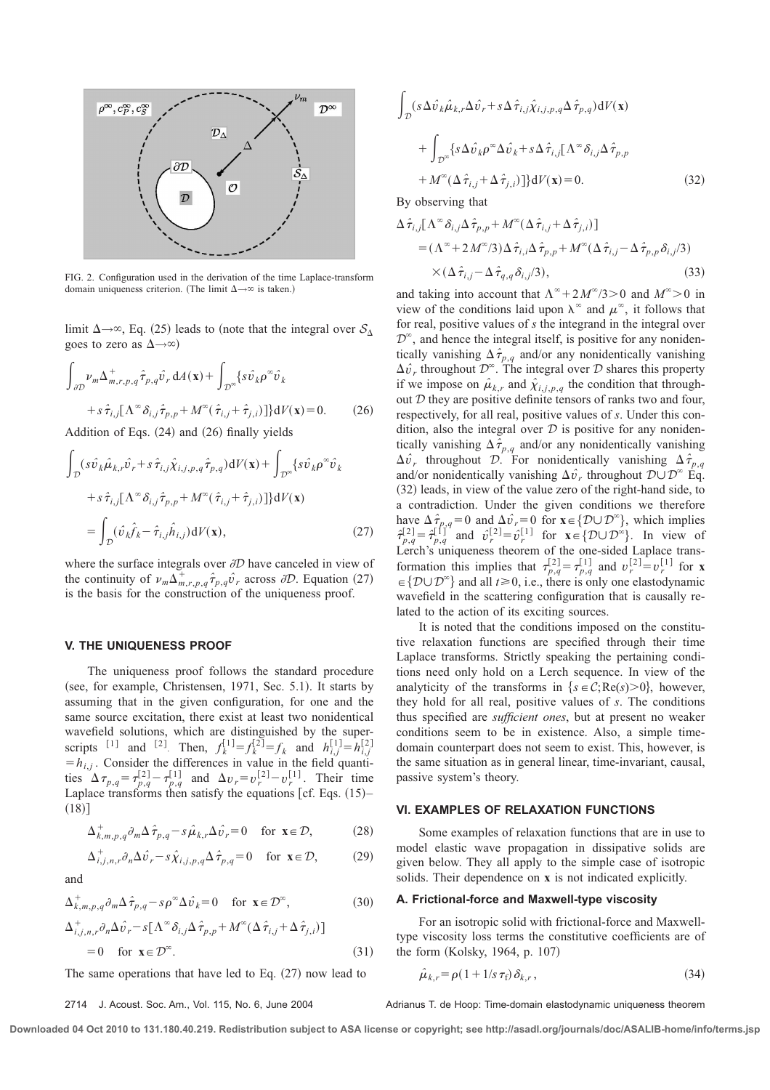

FIG. 2. Configuration used in the derivation of the time Laplace-transform domain uniqueness criterion. (The limit  $\Delta \rightarrow \infty$  is taken.)

limit  $\Delta \rightarrow \infty$ , Eq. (25) leads to (note that the integral over  $S_{\Delta}$ goes to zero as  $\Delta \rightarrow \infty$ )

$$
\int_{\partial \mathcal{D}} \nu_m \Delta_{m,r,p,q}^+ \hat{\tau}_{p,q} \hat{\nu}_r dA(\mathbf{x}) + \int_{\mathcal{D}^{\infty}} \{ s \hat{\nu}_k \rho^{\infty} \hat{\nu}_k + s \hat{\tau}_{i,j} [\Lambda^{\infty} \delta_{i,j} \hat{\tau}_{p,p} + M^{\infty} (\hat{\tau}_{i,j} + \hat{\tau}_{j,i})] \} dV(\mathbf{x}) = 0.
$$
 (26)  
Addition of Eqs. (24) and (26) finally yields

$$
\int_{\mathcal{D}} (s\hat{v}_{k}\hat{\mu}_{k,r}\hat{v}_{r} + s\hat{\tau}_{i,j}\hat{\chi}_{i,j,p,q}\hat{\tau}_{p,q})\mathrm{d}V(\mathbf{x}) + \int_{\mathcal{D}^{\infty}} \{s\hat{v}_{k}\rho^{\infty}\hat{v}_{k} + s\hat{\tau}_{i,j}[\Lambda^{\infty}\delta_{i,j}\hat{\tau}_{p,p} + M^{\infty}(\hat{\tau}_{i,j} + \hat{\tau}_{j,i})]\}\mathrm{d}V(\mathbf{x})
$$

$$
= \int_{\mathcal{D}} (\hat{v}_{k}\hat{f}_{k} - \hat{\tau}_{i,j}\hat{h}_{i,j})\mathrm{d}V(\mathbf{x}), \qquad (27)
$$

where the surface integrals over  $\partial D$  have canceled in view of the continuity of  $\nu_m \Delta^+_{m,r,p,q} \hat{\tau}_{p,q} \hat{\nu}_r$  across  $\partial \mathcal{D}$ . Equation (27) is the basis for the construction of the uniqueness proof.

#### **V. THE UNIQUENESS PROOF**

The uniqueness proof follows the standard procedure (see, for example, Christensen, 1971, Sec. 5.1). It starts by assuming that in the given configuration, for one and the same source excitation, there exist at least two nonidentical wavefield solutions, which are distinguished by the superscripts <sup>[1]</sup> and <sup>[2]</sup>. Then,  $f_k^{[1]} = f_k^{[2]} = f_k$  and  $h_{i,j}^{[1]} = h_{i,j}^{[2]}$  $=h_{i,j}$ . Consider the differences in value in the field quantities  $\Delta \tau_{p,q} = \tau_{p,q}^{[2]} - \tau_{p,q}^{[1]}$  and  $\Delta v_r = v_r^{[2]} - v_r^{[1]}$ . Their time Laplace transforms then satisfy the equations  $[cf. Eqs. (15)$ –  $(18)$ ]

$$
\Delta_{k,m,p,q}^+ \partial_m \Delta \hat{\tau}_{p,q} - s \hat{\mu}_{k,r} \Delta \hat{\nu}_r = 0 \quad \text{for } \mathbf{x} \in \mathcal{D}, \tag{28}
$$

$$
\Delta^+_{i,j,n,r} \partial_n \Delta \hat{\nu}_r - s \hat{\chi}_{i,j,p,q} \Delta \hat{\tau}_{p,q} = 0 \quad \text{for } \mathbf{x} \in \mathcal{D},\tag{29}
$$

and

$$
\Delta^+_{k,m,p,q} \partial_m \Delta \hat{\tau}_{p,q} - s \rho^\infty \Delta \hat{\nu}_k = 0 \quad \text{for } \mathbf{x} \in \mathcal{D}^\infty,
$$
 (30)

$$
\Delta_{i,j,n,r}^{+} \partial_{n} \Delta \hat{v}_{r} - s [\Lambda^{\infty} \delta_{i,j} \Delta \hat{\tau}_{p,p} + M^{\infty} (\Delta \hat{\tau}_{i,j} + \Delta \hat{\tau}_{j,i})]
$$
  
= 0 for  $\mathbf{x} \in \mathcal{D}^{\infty}$ . (31)

The same operations that have led to Eq.  $(27)$  now lead to

$$
\int_{\mathcal{D}} (s\Delta \hat{v}_{k}\hat{\mu}_{k,r}\Delta \hat{v}_{r} + s\Delta \hat{\tau}_{i,j}\hat{\chi}_{i,j,p,q}\Delta \hat{\tau}_{p,q})dV(\mathbf{x})
$$

$$
+ \int_{\mathcal{D}^{\infty}} \{s\Delta \hat{v}_{k}\rho^{\infty}\Delta \hat{v}_{k} + s\Delta \hat{\tau}_{i,j}[\Lambda^{\infty}\delta_{i,j}\Delta \hat{\tau}_{p,p} + M^{\infty}(\Delta \hat{\tau}_{i,j} + \Delta \hat{\tau}_{j,i})]\}dV(\mathbf{x}) = 0.
$$
(32)

By observing that

$$
\Delta \hat{\tau}_{i,j} [\Lambda^{\infty} \delta_{i,j} \Delta \hat{\tau}_{p,p} + M^{\infty} (\Delta \hat{\tau}_{i,j} + \Delta \hat{\tau}_{j,i})]
$$
  
=  $(\Lambda^{\infty} + 2 M^{\infty}/3) \Delta \hat{\tau}_{i,i} \Delta \hat{\tau}_{p,p} + M^{\infty} (\Delta \hat{\tau}_{i,j} - \Delta \hat{\tau}_{p,p} \delta_{i,j}/3)$   
 $\times (\Delta \hat{\tau}_{i,j} - \Delta \hat{\tau}_{q,q} \delta_{i,j}/3),$  (33)

and taking into account that  $\Lambda^{\infty} + 2M^{\infty}/3 > 0$  and  $M^{\infty} > 0$  in view of the conditions laid upon  $\lambda^{\infty}$  and  $\mu^{\infty}$ , it follows that for real, positive values of *s* the integrand in the integral over  $\mathcal{D}^{\infty}$ , and hence the integral itself, is positive for any nonidentically vanishing  $\Delta \hat{\tau}_{p,q}$  and/or any nonidentically vanishing  $\Delta \hat{v}_r$  throughout  $\mathcal{D}^{\infty}$ . The integral over  $\mathcal D$  shares this property if we impose on  $\hat{\mu}_{k,r}$  and  $\hat{\chi}_{i,j,p,q}$  the condition that throughout  $D$  they are positive definite tensors of ranks two and four, respectively, for all real, positive values of *s*. Under this condition, also the integral over  $D$  is positive for any nonidentically vanishing  $\Delta \hat{\tau}_{p,q}$  and/or any nonidentically vanishing  $\Delta \hat{v}_r$  throughout D. For nonidentically vanishing  $\Delta \hat{\tau}_{p,q}$ and/or nonidentically vanishing  $\Delta \hat{v}_r$ , throughout  $\mathcal{D} \cup \mathcal{D}^{\infty}$  Eq.  $(32)$  leads, in view of the value zero of the right-hand side, to a contradiction. Under the given conditions we therefore have  $\Delta \hat{\tau}_{p,q} = 0$  and  $\Delta \hat{\nu}_r = 0$  for  $\mathbf{x} \in \{ \mathcal{D} \cup \mathcal{D}^{\infty} \}$ , which implies  $\hat{\tau}_{p,q}^{[2]} = \hat{\tau}_{p,q}^{[1]^T}$  and  $\hat{v}_r^{[2]} = \hat{v}_r^{[1]}$  for  $\mathbf{x} \in \{ \mathcal{D} \cup \mathcal{D}^{\infty} \}$ . In view of Lerch's uniqueness theorem of the one-sided Laplace transformation this implies that  $\tau_{p,q}^{[2]} = \tau_{p,q}^{[1]}$  and  $v_r^{[2]} = v_r^{[1]}$  for **x**  $\in \{ \mathcal{D} \cup \mathcal{D}^{\infty} \}$  and all  $t \ge 0$ , i.e., there is only one elastodynamic wavefield in the scattering configuration that is causally related to the action of its exciting sources.

It is noted that the conditions imposed on the constitutive relaxation functions are specified through their time Laplace transforms. Strictly speaking the pertaining conditions need only hold on a Lerch sequence. In view of the analyticity of the transforms in  $\{s \in C; Re(s) > 0\}$ , however, they hold for all real, positive values of *s*. The conditions thus specified are *sufficient ones*, but at present no weaker conditions seem to be in existence. Also, a simple timedomain counterpart does not seem to exist. This, however, is the same situation as in general linear, time-invariant, causal, passive system's theory.

### **VI. EXAMPLES OF RELAXATION FUNCTIONS**

Some examples of relaxation functions that are in use to model elastic wave propagation in dissipative solids are given below. They all apply to the simple case of isotropic solids. Their dependence on **x** is not indicated explicitly.

### **A. Frictional-force and Maxwell-type viscosity**

For an isotropic solid with frictional-force and Maxwelltype viscosity loss terms the constitutive coefficients are of the form  $(Kolsky, 1964, p. 107)$ 

$$
\hat{\mu}_{k,r} = \rho \left( 1 + 1/s \, \tau_f \right) \delta_{k,r},\tag{34}
$$

2714 J. Acoust. Soc. Am., Vol. 115, No. 6, June 2004 Adrianus T. de Hoop: Time-domain elastodynamic uniqueness theorem